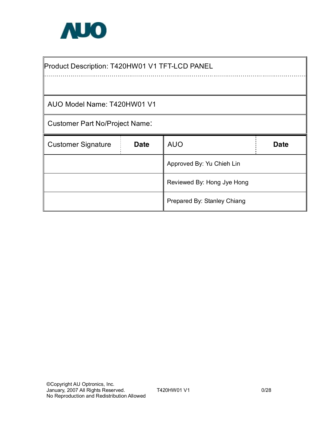

| Product Description: T420HW01 V1 TFT-LCD PANEL |             |                            |             |  |  |
|------------------------------------------------|-------------|----------------------------|-------------|--|--|
|                                                |             |                            |             |  |  |
| AUO Model Name: T420HW01 V1                    |             |                            |             |  |  |
| <b>Customer Part No/Project Name:</b>          |             |                            |             |  |  |
|                                                |             |                            |             |  |  |
| <b>Customer Signature</b>                      | <b>Date</b> | <b>AUO</b>                 | <b>Date</b> |  |  |
|                                                |             | Approved By: Yu Chieh Lin  |             |  |  |
|                                                |             | Reviewed By: Hong Jye Hong |             |  |  |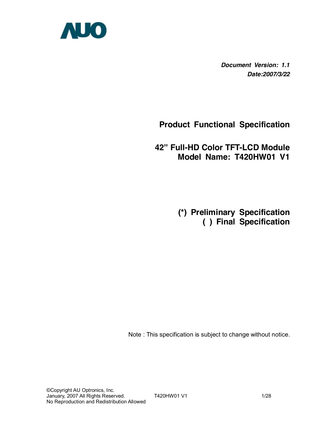

*Document Version: 1.1 Date:2007/3/22*

**Product Functional Specification** 

**42" Full-HD Color TFT-LCD Module Model Name: T420HW01 V1** 

> **(\*) Preliminary Specification ( ) Final Specification**

Note : This specification is subject to change without notice.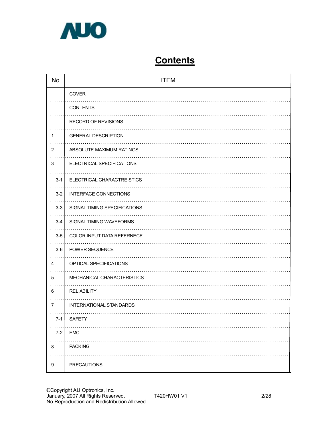

# **Contents**

| <b>No</b>      | <b>ITEM</b>                    |
|----------------|--------------------------------|
|                | COVER                          |
|                | <b>CONTENTS</b>                |
|                | <b>RECORD OF REVISIONS</b>     |
| 1              | <b>GENERAL DESCRIPTION</b>     |
| $\overline{2}$ | ABSOLUTE MAXIMUM RATINGS       |
| 3              | ELECTRICAL SPECIFICATIONS      |
| $3 - 1$        | ELECTRICAL CHARACTREISTICS     |
| $3 - 2$        | <b>INTERFACE CONNECTIONS</b>   |
| $3 - 3$        | SIGNAL TIMING SPECIFICATIONS   |
| $3-4$          | SIGNAL TIMING WAVEFORMS        |
| $3-5$          | COLOR INPUT DATA REFERNECE     |
| $3-6$          | POWER SEQUENCE                 |
| 4              | OPTICAL SPECIFICATIONS         |
| 5              | MECHANICAL CHARACTERISTICS     |
| 6              | <b>RELIABILITY</b>             |
| $\overline{7}$ | <b>INTERNATIONAL STANDARDS</b> |
| $7 - 1$        | <b>SAFETY</b>                  |
| $7 - 2$        | <b>EMC</b>                     |
| 8              | <b>PACKING</b>                 |
| 9              | <b>PRECAUTIONS</b>             |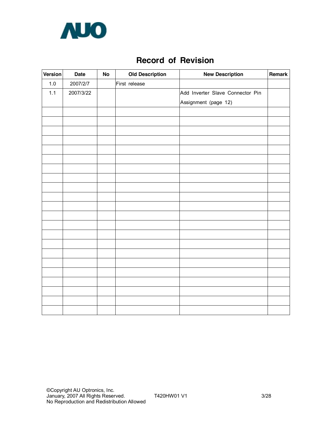

## **Record of Revision**

| Version | <b>Date</b> | No | <b>Old Description</b> | <b>New Description</b>           | Remark |
|---------|-------------|----|------------------------|----------------------------------|--------|
| $1.0$   | 2007/2/7    |    | First release          |                                  |        |
| 1.1     | 2007/3/22   |    |                        | Add Inverter Slave Connector Pin |        |
|         |             |    |                        | Assignment (page 12)             |        |
|         |             |    |                        |                                  |        |
|         |             |    |                        |                                  |        |
|         |             |    |                        |                                  |        |
|         |             |    |                        |                                  |        |
|         |             |    |                        |                                  |        |
|         |             |    |                        |                                  |        |
|         |             |    |                        |                                  |        |
|         |             |    |                        |                                  |        |
|         |             |    |                        |                                  |        |
|         |             |    |                        |                                  |        |
|         |             |    |                        |                                  |        |
|         |             |    |                        |                                  |        |
|         |             |    |                        |                                  |        |
|         |             |    |                        |                                  |        |
|         |             |    |                        |                                  |        |
|         |             |    |                        |                                  |        |
|         |             |    |                        |                                  |        |
|         |             |    |                        |                                  |        |
|         |             |    |                        |                                  |        |
|         |             |    |                        |                                  |        |
|         |             |    |                        |                                  |        |
|         |             |    |                        |                                  |        |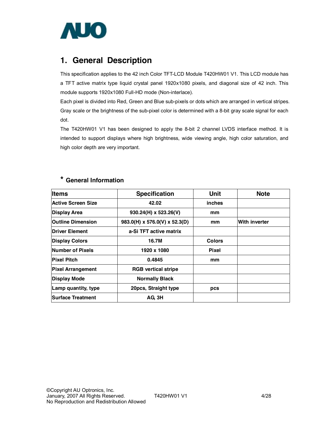

## **1. General Description**

This specification applies to the 42 inch Color TFT-LCD Module T420HW01 V1. This LCD module has a TFT active matrix type liquid crystal panel 1920x1080 pixels, and diagonal size of 42 inch. This module supports 1920x1080 Full-HD mode (Non-interlace).

Each pixel is divided into Red, Green and Blue sub-pixels or dots which are arranged in vertical stripes. Gray scale or the brightness of the sub-pixel color is determined with a 8-bit gray scale signal for each dot.

The T420HW01 V1 has been designed to apply the 8-bit 2 channel LVDS interface method. It is intended to support displays where high brightness, wide viewing angle, high color saturation, and high color depth are very important.

|  |  | * General Information |  |
|--|--|-----------------------|--|
|--|--|-----------------------|--|

| <b>Items</b>              | <b>Specification</b>          | Unit          | <b>Note</b>   |
|---------------------------|-------------------------------|---------------|---------------|
| <b>Active Screen Size</b> | 42.02                         | inches        |               |
| <b>Display Area</b>       | $930.24(H) \times 523.26(V)$  | mm            |               |
| <b>Outline Dimension</b>  | 983.0(H) x 576.0(V) x 52.3(D) | mm            | With inverter |
| <b>Driver Element</b>     | a-Si TFT active matrix        |               |               |
| <b>Display Colors</b>     | 16.7M                         | <b>Colors</b> |               |
| <b>Number of Pixels</b>   | 1920 x 1080                   | <b>Pixel</b>  |               |
| <b>Pixel Pitch</b>        | 0.4845                        | mm            |               |
| <b>Pixel Arrangement</b>  | <b>RGB</b> vertical stripe    |               |               |
| <b>Display Mode</b>       | <b>Normally Black</b>         |               |               |
| Lamp quantity, type       | 20pcs, Straight type          | pcs           |               |
| <b>Surface Treatment</b>  | AG <sub>3H</sub>              |               |               |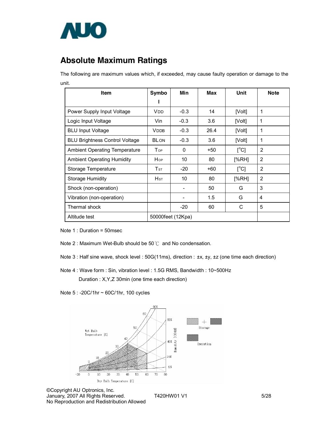

# **Absolute Maximum Ratings**

The following are maximum values which, if exceeded, may cause faulty operation or damage to the unit.

| <b>Item</b>                           | Symbo                               | Min               | Max  | Unit                      | <b>Note</b>    |
|---------------------------------------|-------------------------------------|-------------------|------|---------------------------|----------------|
|                                       |                                     |                   |      |                           |                |
| Power Supply Input Voltage            | <b>VDD</b>                          | $-0.3$            | 14   | [Volt]                    | 1              |
| Logic Input Voltage                   | Vin.                                | $-0.3$            | 3.6  | [Volt]                    | 1              |
| <b>BLU Input Voltage</b>              | <b>VDDB</b>                         | $-0.3$            | 26.4 | [Volt]                    | 1              |
| <b>BLU Brightness Control Voltage</b> | <b>BLON</b>                         | $-0.3$            | 3.6  | [Volt]                    | 1              |
| <b>Ambient Operating Temperature</b>  | <b>T</b> op                         | $\Omega$          | +50  | $\lceil{^{\circ}C}\rceil$ | 2              |
| <b>Ambient Operating Humidity</b>     | Hop                                 | 10                | 80   | [%RH]                     | 2              |
| Storage Temperature                   | $\mathsf{T}\mathsf{s}\mathsf{\tau}$ | $-20$             | +60  | $\mathsf{I}^{\circ}$ Cl   | $\overline{2}$ |
| <b>Storage Humidity</b>               | $H_{ST}$                            | 10                | 80   | [%RH]                     | 2              |
| Shock (non-operation)                 |                                     |                   | 50   | G                         | 3              |
| Vibration (non-operation)             |                                     |                   | 1.5  | G                         | 4              |
| Thermal shock                         |                                     | -20               | 60   | C                         | 5              |
| Altitude test                         |                                     | 50000feet (12Kpa) |      |                           |                |

Note 1 : Duration = 50msec

- Note 2 : Maximum Wet-Bulb should be 50℃ and No condensation.
- Note 3 : Half sine wave, shock level : 50G(11ms), direction : ±x, ±y, ±z (one time each direction)
- Note 4 : Wave form : Sin, vibration level : 1.5G RMS, Bandwidth : 10~500Hz

Duration : X,Y,Z 30min (one time each direction)

Note 5 : -20C/1hr ~ 60C/1hr, 100 cycles



©Copyright AU Optronics, Inc. January, 2007 All Rights Reserved. T420HW01 V1 5/28 No Reproduction and Redistribution Allowed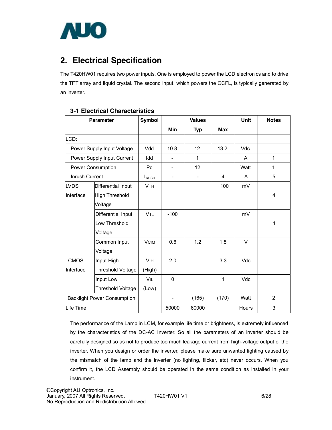

# **2. Electrical Specification**

The T420HW01 requires two power inputs. One is employed to power the LCD electronics and to drive the TFT array and liquid crystal. The second input, which powers the CCFL, is typically generated by an inverter.

| <b>Parameter</b> |                                    | <b>Symbol</b>         |                              | <b>Values</b> |            |              | <b>Notes</b>   |
|------------------|------------------------------------|-----------------------|------------------------------|---------------|------------|--------------|----------------|
|                  |                                    |                       | Min                          | <b>Typ</b>    | <b>Max</b> |              |                |
| LCD:             |                                    |                       |                              |               |            |              |                |
|                  | Power Supply Input Voltage         | Vdd                   | 10.8                         | 12            | 13.2       | Vdc          |                |
|                  | Power Supply Input Current         | Idd                   | $\qquad \qquad \blacksquare$ | $\mathbf 1$   |            | A            | $\mathbf{1}$   |
|                  | <b>Power Consumption</b>           | P <sub>C</sub>        | $\overline{\phantom{a}}$     | 12            |            | Watt         | $\mathbf{1}$   |
| Inrush Current   |                                    | $I_{\text{RUSH}}$     |                              |               | 4          | A            | 5              |
| <b>LVDS</b>      | Differential Input                 | <b>V<sub>TH</sub></b> |                              |               | $+100$     | mV           |                |
| Interface        | <b>High Threshold</b>              |                       |                              |               |            |              | 4              |
|                  | Voltage                            |                       |                              |               |            |              |                |
|                  | Differential Input                 | <b>V<sub>TL</sub></b> | $-100$                       |               |            | mV           |                |
|                  | Low Threshold                      |                       |                              |               |            |              | 4              |
|                  | Voltage                            |                       |                              |               |            |              |                |
|                  | Common Input                       | <b>VCIM</b>           | 0.6                          | 1.2           | 1.8        | $\vee$       |                |
|                  | Voltage                            |                       |                              |               |            |              |                |
| <b>CMOS</b>      | Input High                         | <b>VIH</b>            | 2.0                          |               | 3.3        | Vdc          |                |
| Interface        | Threshold Voltage                  | (High)                |                              |               |            |              |                |
|                  | Input Low                          | VIL                   | $\Omega$                     |               | 1          | Vdc          |                |
|                  | Threshold Voltage                  | (Low)                 |                              |               |            |              |                |
|                  | <b>Backlight Power Consumption</b> |                       |                              | (165)         | (170)      | Watt         | $\overline{2}$ |
| Life Time        |                                    |                       | 50000                        | 60000         |            | <b>Hours</b> | 3              |

## **3-1 Electrical Characteristics**

The performance of the Lamp in LCM, for example life time or brightness, is extremely influenced by the characteristics of the DC-AC Inverter. So all the parameters of an inverter should be carefully designed so as not to produce too much leakage current from high-voltage output of the inverter. When you design or order the inverter, please make sure unwanted lighting caused by the mismatch of the lamp and the inverter (no lighting, flicker, etc) never occurs. When you confirm it, the LCD Assembly should be operated in the same condition as installed in your instrument.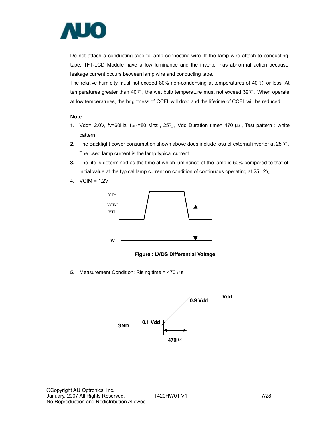

Do not attach a conducting tape to lamp connecting wire. If the lamp wire attach to conducting tape, TFT-LCD Module have a low luminance and the inverter has abnormal action because leakage current occurs between lamp wire and conducting tape.

The relative humidity must not exceed 80% non-condensing at temperatures of 40 ℃ or less. At temperatures greater than 40℃, the wet bulb temperature must not exceed 39℃. When operate at low temperatures, the brightness of CCFL will drop and the lifetime of CCFL will be reduced.

#### **Note :**

- **1.** Vdd=12.0V, fv=60Hz, fcLK=80 Mhz, 25℃, Vdd Duration time= 470 µs, Test pattern : white pattern
- **2.** The Backlight power consumption shown above does include loss of external inverter at 25 ℃. The used lamp current is the lamp typical current
- **3.** The life is determined as the time at which luminance of the lamp is 50% compared to that of initial value at the typical lamp current on condition of continuous operating at  $25 \pm 2^{\circ}$ C.
- **4.** VCIM = 1.2V



**Figure : LVDS Differential Voltage** 

**5.** Measurement Condition: Rising time = 470  $\mu$  s

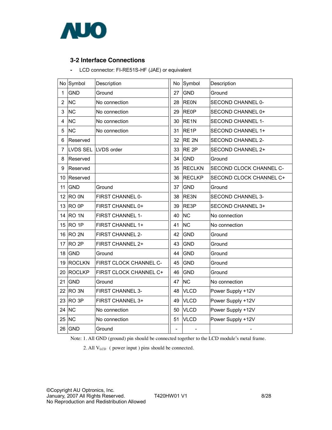

## **3-2 Interface Connections**

**-** LCD connector: FI-RE51S-HF (JAE) or equivalent

|                | No Symbol        | Description            |                          | No Symbol         | Description              |
|----------------|------------------|------------------------|--------------------------|-------------------|--------------------------|
| 1              | <b>GND</b>       | Ground                 | 27                       | GND               | Ground                   |
| $\overline{2}$ | <b>NC</b>        | No connection          | 28                       | <b>REON</b>       | <b>SECOND CHANNEL 0-</b> |
| 3              | <b>NC</b>        | No connection          | 29                       | <b>RE0P</b>       | SECOND CHANNEL 0+        |
| 4              | <b>NC</b>        | No connection          | 30                       | RE <sub>1N</sub>  | <b>SECOND CHANNEL 1-</b> |
| 5              | <b>NC</b>        | No connection          | 31                       | RE <sub>1</sub> P | SECOND CHANNEL 1+        |
| 6              | Reserved         |                        | 32                       | RE <sub>2N</sub>  | <b>SECOND CHANNEL 2-</b> |
| 7              |                  | LVDS SEL LVDS order    | 33                       | RE <sub>2P</sub>  | <b>SECOND CHANNEL 2+</b> |
| 8              | Reserved         |                        | 34                       | GND               | Ground                   |
| 9              | Reserved         |                        | 35                       | <b>RECLKN</b>     | SECOND CLOCK CHANNEL C-  |
| 10             | Reserved         |                        | 36                       | <b>RECLKP</b>     | SECOND CLOCK CHANNEL C+  |
| 11             | <b>GND</b>       | Ground                 | 37                       | GND               | Ground                   |
| 12             | RO <sub>ON</sub> | FIRST CHANNEL 0-       | 38                       | RE3N              | <b>SECOND CHANNEL 3-</b> |
|                | 13 RO 0P         | FIRST CHANNEL 0+       | 39                       | RE3P              | SECOND CHANNEL 3+        |
| 14             | RO <sub>1N</sub> | FIRST CHANNEL 1-       | 40                       | <b>NC</b>         | No connection            |
|                | 15 RO 1P         | FIRST CHANNEL 1+       | 41                       | <b>NC</b>         | No connection            |
|                | 16 RO 2N         | FIRST CHANNEL 2-       | 42                       | <b>GND</b>        | Ground                   |
| 17             | RO <sub>2P</sub> | FIRST CHANNEL 2+       | 43                       | <b>GND</b>        | Ground                   |
| 18             | GND              | Ground                 | 44                       | GND               | Ground                   |
| 19             | <b>ROCLKN</b>    | FIRST CLOCK CHANNEL C- | 45                       | <b>GND</b>        | Ground                   |
| 20             | <b>ROCLKP</b>    | FIRST CLOCK CHANNEL C+ | 46                       | <b>GND</b>        | Ground                   |
| 21             | <b>GND</b>       | Ground                 | 47                       | <b>NC</b>         | No connection            |
| 22             | RO <sub>3N</sub> | FIRST CHANNEL 3-       | 48                       | <b>VLCD</b>       | Power Supply +12V        |
| 23             | RO <sub>3P</sub> | FIRST CHANNEL 3+       | 49                       | <b>VLCD</b>       | Power Supply +12V        |
| 24             | <b>NC</b>        | No connection          | 50                       | <b>VLCD</b>       | Power Supply +12V        |
| 25             | <b>NC</b>        | No connection          | 51                       | <b>VLCD</b>       | Power Supply +12V        |
| 26             | GND              | Ground                 | $\overline{\phantom{0}}$ |                   |                          |
|                |                  |                        |                          |                   |                          |

Note: 1. All GND (ground) pin should be connected together to the LCD module's metal frame.

2. All  $V_{LCD}$  (power input ) pins should be connected.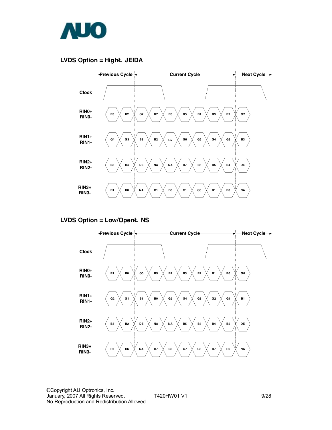

### **LVDS Option = HighË JEIDA**



## **LVDS Option = Low/OpenË NS**

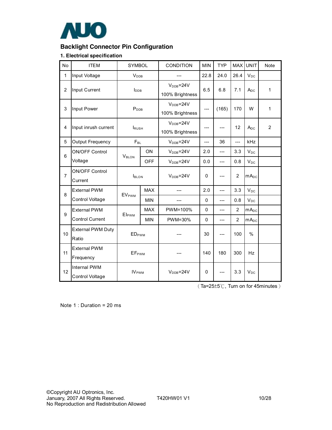

## **Backlight Connector Pin Configuration**

#### **1. Electrical specification**

| No             | <b>ITEM</b>                       | SYMBOL                   |            | <b>CONDITION</b>                   | <b>MIN</b> | <b>TYP</b> | <b>MAX</b>     | <b>UNIT</b>      | Note           |
|----------------|-----------------------------------|--------------------------|------------|------------------------------------|------------|------------|----------------|------------------|----------------|
| 1              | Input Voltage                     | V <sub>DB</sub>          |            |                                    | 22.8       | 24.0       | 26.4           | $V_{DC}$         |                |
| $\overline{c}$ | Input Current                     | $I_{\text{DDB}}$         |            | $VDB=24V$<br>100% Brightness       | 6.5        | 6.8        | 7.1            | $A_{DC}$         | 1              |
| 3              | Input Power                       | P <sub>DB</sub>          |            | $VDB=24V$<br>100% Brightness       | ---        | (165)      | 170            | W                | 1              |
| 4              | Input inrush current              | <b>IRUSH</b>             |            | $V_{DDB} = 24V$<br>100% Brightness |            |            | 12             | $A_{DC}$         | $\overline{2}$ |
| 5              | Output Frequency                  | $F_{BL}$                 |            | $VDB=24V$                          | $---$      | 36         | ---            | kHz              |                |
| 6              | <b>ON/OFF Control</b>             | VBLON                    | ON         | $VDB=24V$                          | 2.0        | ---        | 3.3            | $V_{DC}$         |                |
|                | Voltage                           |                          | <b>OFF</b> | $VDB=24V$                          | 0.0        | ---        | 0.8            | $V_{DC}$         |                |
| $\overline{7}$ | <b>ON/OFF Control</b><br>Current  | <b>I</b> BLON            |            | $VDB=24V$                          | $\Omega$   |            | $\overline{2}$ | mA <sub>DC</sub> |                |
| 8              | <b>External PWM</b>               | <b>EVPWM</b>             | <b>MAX</b> |                                    | 2.0        | $---$      | 3.3            | $V_{DC}$         |                |
|                | Control Voltage                   |                          | <b>MIN</b> |                                    | $\Omega$   | $---$      | 0.8            | $V_{DC}$         |                |
| 9              | <b>External PWM</b>               | <b>Elpwm</b>             | <b>MAX</b> | PWM=100%                           | $\Omega$   | ---        | 2              | $mA_{DC}$        |                |
|                | <b>Control Current</b>            |                          | <b>MIN</b> | PWM=30%                            | $\Omega$   | ---        | $\overline{2}$ | $mA_{DC}$        |                |
| 10             | <b>External PWM Duty</b><br>Ratio | <b>EDPWM</b>             |            |                                    | 30         | ---        | 100            | $\%$             |                |
| 11             | <b>External PWM</b><br>Frequency  | <b>EF</b> <sub>PWM</sub> |            |                                    | 140        | 180        | 300            | Hz.              |                |
| 12             | Internal PWM<br>Control Voltage   | IV <sub>PWM</sub>        |            | $V_{DDB} = 24V$                    | 0          |            | 3.3            | $V_{DC}$         |                |

(Ta=25±5℃, Turn on for 45minutes)

Note 1 : Duration = 20 ms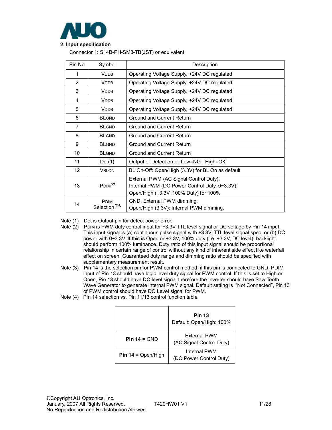

## **2. Input specification**

Connector 1: S14B-PH-SM3-TB(JST) or equivalent

| Pin No          | Symbol                                     | Description                                                                                                                      |
|-----------------|--------------------------------------------|----------------------------------------------------------------------------------------------------------------------------------|
| 1               | <b>VDDB</b>                                | Operating Voltage Supply, +24V DC regulated                                                                                      |
| $\overline{2}$  | <b>VDDB</b>                                | Operating Voltage Supply, +24V DC regulated                                                                                      |
| 3               | <b>VDDB</b>                                | Operating Voltage Supply, +24V DC regulated                                                                                      |
| 4               | <b>VDDB</b>                                | Operating Voltage Supply, +24V DC regulated                                                                                      |
| 5               | <b>V<sub>DDB</sub></b>                     | Operating Voltage Supply, +24V DC regulated                                                                                      |
| 6               | <b>BLGND</b>                               | Ground and Current Return                                                                                                        |
| $\overline{7}$  | <b>BLGND</b>                               | Ground and Current Return                                                                                                        |
| 8               | <b>BLGND</b>                               | Ground and Current Return                                                                                                        |
| 9               | <b>BLGND</b>                               | Ground and Current Return                                                                                                        |
| 10              | <b>BLGND</b>                               | Ground and Current Return                                                                                                        |
| 11              | Det(1)                                     | Output of Detect error: Low=NG, High=OK                                                                                          |
| 12 <sup>°</sup> | <b>VBLON</b>                               | BL On-Off: Open/High (3.3V) for BL On as default                                                                                 |
| 13              | P <sub>DIM</sub> <sup>(2)</sup>            | External PWM (AC Signal Control Duty);<br>Internal PWM (DC Power Control Duty, 0~3.3V);<br>Open/High (+3.3V, 100% Duty) for 100% |
| 14              | <b>P</b> DIM<br>Selection <sup>(3,4)</sup> | GND: External PWM dimming;<br>Open/High (3.3V): Internal PWM dimming.                                                            |

Note (1) Det is Output pin for detect power error.

- Note (2) PDIM is PWM duty control input for +3.3V TTL level signal or DC voltage by Pin 14 input. This input signal is (a) continuous pulse signal with +3.3V, TTL level signal spec, or (b) DC power with 0~3.3V. If this is Open or +3.3V, 100% duty (i.e. +3.3V, DC level), backlight should perform 100% luminance. Duty ratio of this input signal should be proportional relationship in certain range of control without any kind of inherent side effect like waterfall effect on screen. Guaranteed duty range and dimming ratio should be specified with supplementary measurement result.
- Note (3) Pin 14 is the selection pin for PWM control method; if this pin is connected to GND, PDIM input of Pin 13 should have logic level duty signal for PWM control. If this is set to High or Open, Pin 13 should have DC level signal therefore the Inverter should have Saw Tooth Wave Generator to generate internal PWM signal. Default setting is "Not Connected", Pin 13 of PWM control should have DC Level signal for PWM.
- Note (4) Pin 14 selection vs. Pin 11/13 control function table:

|                           | <b>Pin 13</b><br>Default: Open/High: 100% |
|---------------------------|-------------------------------------------|
| Pin $14 =$ GND            | External PWM<br>(AC Signal Control Duty)  |
| <b>Pin 14 = Open/High</b> | Internal PWM<br>(DC Power Control Duty)   |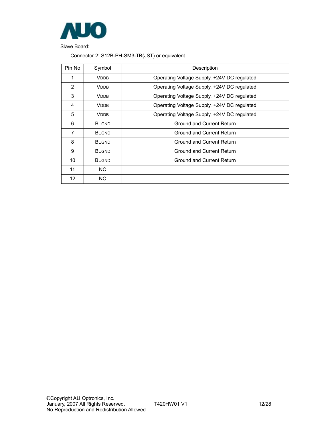

Slave Board:

## Connector 2: S12B-PH-SM3-TB(JST) or equivalent

| Pin No         | Symbol       | Description                                 |
|----------------|--------------|---------------------------------------------|
| 1              | <b>VDDB</b>  | Operating Voltage Supply, +24V DC regulated |
| $\overline{2}$ | <b>VDDB</b>  | Operating Voltage Supply, +24V DC regulated |
| 3              | <b>VDDB</b>  | Operating Voltage Supply, +24V DC regulated |
| 4              | <b>VDDB</b>  | Operating Voltage Supply, +24V DC regulated |
| 5              | <b>VDDB</b>  | Operating Voltage Supply, +24V DC regulated |
| 6              | <b>BLGND</b> | Ground and Current Return                   |
| $\overline{7}$ | <b>BLGND</b> | Ground and Current Return                   |
| 8              | <b>BLGND</b> | Ground and Current Return                   |
| 9              | <b>BLGND</b> | Ground and Current Return                   |
| 10             | <b>BLGND</b> | Ground and Current Return                   |
| 11             | NC.          |                                             |
| 12             | NC.          |                                             |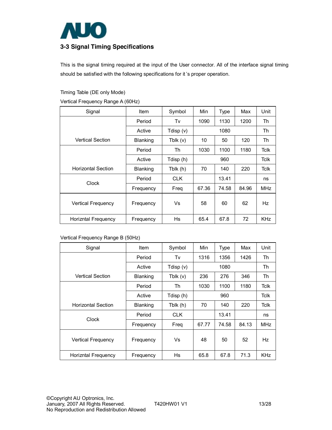

## **3-3 Signal Timing Specifications**

This is the signal timing required at the input of the User connector. All of the interface signal timing should be satisfied with the following specifications for it 's proper operation.

#### Timing Table (DE only Mode)

Vertical Frequency Range A (60Hz)

| Signal                    | Item      | Symbol      | Min   | <b>Type</b> | Max   | Unit        |
|---------------------------|-----------|-------------|-------|-------------|-------|-------------|
|                           | Period    | Tv          | 1090  | 1130        | 1200  | Th          |
|                           | Active    | Tdisp $(v)$ |       | 1080        |       | Th          |
| <b>Vertical Section</b>   | Blanking  | Tblk $(v)$  | 10    | 50          | 120   | Th          |
|                           | Period    | Th          | 1030  | 1100        | 1180  | <b>Tclk</b> |
|                           | Active    | Tdisp (h)   | 960   |             |       | Tclk        |
| <b>Horizontal Section</b> | Blanking  | Tblk (h)    | 70    | 140         | 220   | Tclk        |
| Clock                     | Period    | <b>CLK</b>  |       | 13.41       |       | ns          |
|                           | Frequency | Freq        | 67.36 | 74.58       | 84.96 | <b>MHz</b>  |
| <b>Vertical Frequency</b> | Frequency | Vs          | 58    | 60          | 62    | Hz          |
| Horizntal Frequency       | Frequency | Hs          | 65.4  | 67.8        | 72    | <b>KHz</b>  |

Vertical Frequency Range B (50Hz)

| Signal                    | Item      | Symbol      | Min   | <b>Type</b> | Max   | Unit        |
|---------------------------|-----------|-------------|-------|-------------|-------|-------------|
|                           | Period    | Tv          | 1316  | 1356        | 1426  | Th          |
|                           | Active    | Tdisp $(v)$ |       | 1080        |       | Th          |
| <b>Vertical Section</b>   | Blanking  | Tblk $(v)$  | 236   | 276         | 346   | Th          |
|                           | Period    | Th          | 1030  | 1100        | 1180  | Tclk        |
|                           | Active    | Tdisp (h)   |       | 960         |       | Tclk        |
| <b>Horizontal Section</b> | Blanking  | Tblk (h)    | 70    | 140         | 220   | <b>Tclk</b> |
| Clock                     | Period    | <b>CLK</b>  |       | 13.41       |       | ns          |
|                           | Frequency | Freq        | 67.77 | 74.58       | 84.13 | <b>MHz</b>  |
| Vertical Frequency        | Frequency | Vs          | 48    | 50          | 52    | Hz          |
| Horizntal Frequency       | Frequency | <b>Hs</b>   | 65.8  | 67.8        | 71.3  | <b>KHz</b>  |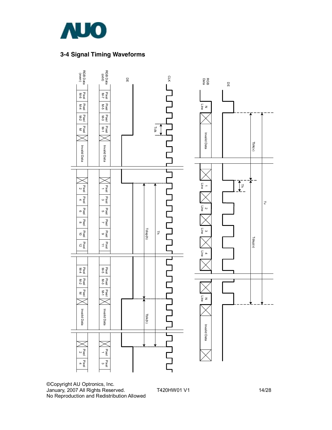

## **3-4 Signal Timing Waveforms**



©Copyright AU Optronics, Inc. January, 2007 All Rights Reserved. T420HW01 V1 14/28 No Reproduction and Redistribution Allowed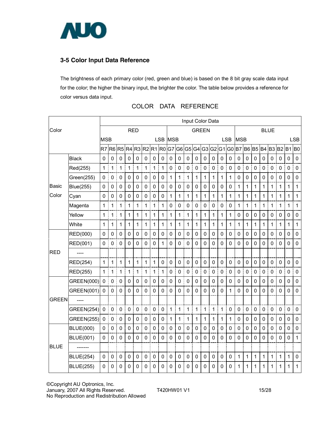

## **3-5 Color Input Data Reference**

The brightness of each primary color (red, green and blue) is based on the 8 bit gray scale data input for the color; the higher the binary input, the brighter the color. The table below provides a reference for color versus data input.

|             |                   | Input Color Data |                |                |                |                |                          |              |             |              |                |                |             |             |                     |                  |             |                |              |                |                  |                |             |             |              |
|-------------|-------------------|------------------|----------------|----------------|----------------|----------------|--------------------------|--------------|-------------|--------------|----------------|----------------|-------------|-------------|---------------------|------------------|-------------|----------------|--------------|----------------|------------------|----------------|-------------|-------------|--------------|
| Color       |                   |                  |                |                | <b>RED</b>     |                |                          |              |             |              | <b>GREEN</b>   |                |             |             |                     | <b>BLUE</b>      |             |                |              |                |                  |                |             |             |              |
|             |                   | <b>MSB</b>       |                |                |                |                |                          |              | LSB MSB     |              |                |                |             |             |                     |                  | <b>LSB</b>  | <b>MSB</b>     |              |                |                  |                |             |             | <b>LSB</b>   |
|             |                   | R7               | R <sub>6</sub> | R <sub>5</sub> | R <sub>4</sub> | R <sub>3</sub> |                          |              | R2 R1 R0 G7 |              | G <sub>6</sub> |                | G5 G4       |             |                     | G3 G2 G1 G0 B7   |             |                | <b>B6 B5</b> |                | <b>B4</b>        | B <sub>3</sub> | <b>B2</b>   | $B1$ $B0$   |              |
|             | <b>Black</b>      | 0                | $\Omega$       | $\mathbf 0$    | 0              | 0              | $\mathbf 0$              | $\mathbf 0$  | 0           | $\mathbf 0$  | $\Omega$       | $\mathbf 0$    | 0           | $\mathbf 0$ | $\mathbf 0$         | $\mathbf 0$      | 0           | $\mathbf 0$    | $\mathbf 0$  | 0              | $\mathbf 0$      | $\Omega$       | 0           | $\Omega$    | $\mathbf 0$  |
|             | Red(255)          | $\mathbf{1}$     | 1              | 1              | 1              | 1              | $\mathbf{1}$<br>Ī        | $\mathbf 1$  | 1           | $\mathbf 0$  | $\mathbf 0$    | $\mathbf 0$    | 0           | 0           | 0                   | 0                | 0           | $\mathbf 0$    | $\mathbf 0$  | $\mathbf 0$    | 0                | $\mathbf 0$    | $\mathbf 0$ | $\mathbf 0$ | $\mathbf 0$  |
|             | Green(255)        | $\mathbf 0$      | $\mathbf 0$    | $\mathbf 0$    | 0              | $\mathbf 0$    | $\mathbf 0$              | $\mathbf 0$  | 0           | 1            | 1              | 1              | 1           | 1           | 1                   | 1                | 1           | $\mathbf 0$    | $\mathbf 0$  | $\mathbf 0$    | 0                | 0              | 0           | 0           | $\mathbf 0$  |
| Basic       | Blue(255)         | 0                | 0              | $\mathbf 0$    | $\pmb{0}$      | 0              | $\pmb{0}$                | $\mathbf 0$  | 0           | 0            | 0              | 0              | 0           | 0           | 0                   | $\mathbf 0$      | 0           | 1              | 1            | 1              | 1                | 1              | 1           | 1           | $\mathbf 1$  |
| Color       | Cyan              | 0                | 0              | $\mathbf{0}$   | 0              | 0              | 0                        | $\mathbf{0}$ | $\Omega$    | 1            | 1              | 1              | 1           | 1           | 1                   | 1                | 1           | 1              | 1            | 1              | 1                | 1              | 1           | 1           | 1            |
|             | Magenta           | $\mathbf{1}$     | $\mathbf{1}$   | $\mathbf{1}$   | 1              | $\mathbf 1$    | t<br>$\overline{1}$<br>I | $\mathbf 1$  | 1           | $\mathsf 0$  | $\mathbf 0$    | 0<br>Î         | $\pmb{0}$   | $\pmb{0}$   | $\mathsf{O}\xspace$ | $\mathsf 0$<br>I | $\mathbf 0$ | 1              | $\mathbf{1}$ | 1              | 1<br>I           | 1              | 1           | 1           | $\mathbf{1}$ |
|             | Yellow            | $\mathbf{1}$     | 1              | $\mathbf{1}$   | 1              | 1              | 1                        | $\mathbf 1$  | 1           | 1            | 1              | 1              | 1           | 1           | 1                   | 1                | 1           | $\mathbf 0$    | 0            | $\mathbf 0$    | 0                | 0              | 0           | $\mathbf 0$ | 0            |
|             | White             | 1                | 1              | 1              | 1              | 1              | 1                        | 1            | 1           | $\mathbf{1}$ | 1              | 1              | 1           | 1           | 1                   | 1                | 1           | 1              | $\mathbf 1$  | $\mathbf 1$    | 1                | 1              | 1           | 1           | $\mathbf 1$  |
|             | RED(000)          | 0                | 0              | $\mathbf 0$    | 0              | $\Omega$       | $\Omega$                 | $\mathbf 0$  | $\mathbf 0$ | $\mathbf{0}$ | $\Omega$       | $\mathbf{0}$   | $\mathbf 0$ | 0           | 0                   | $\mathbf{0}$     | $\mathbf 0$ | 0              | 0            | 0              | 0                | 0              | $\Omega$    | $\Omega$    | $\mathbf 0$  |
|             | RED(001)          | 0                | 0              | $\mathbf 0$    | 0              | $\overline{0}$ | $\mathbf 0$              | $\mathbf 0$  | 1           | $\mathbf 0$  | $\Omega$       | $\overline{0}$ | $\mathbf 0$ | 0           | $\mathbf 0$         | 0                | $\Omega$    | $\overline{0}$ | $\Omega$     | 0              | 0                | 0              | 0           | 0           | $\mathbf 0$  |
| <b>RED</b>  |                   |                  |                |                |                |                |                          |              |             |              |                |                |             |             |                     |                  |             |                |              |                |                  |                |             |             |              |
|             | <b>RED(254)</b>   | 1                | 1              | $\mathbf 1$    | 1              | 1              | $\mathbf 1$              | 1            | 0           | $\mathbf 0$  | $\mathbf 0$    | $\mathbf 0$    | $\mathbf 0$ | $\mathbf 0$ | $\mathbf 0$         | $\mathbf 0$      | $\mathbf 0$ | $\mathbf 0$    | $\mathbf 0$  | $\mathbf 0$    | $\mathbf 0$      | 0              | $\mathbf 0$ | $\mathbf 0$ | 0            |
|             | RED(255)          | $\mathbf{1}$     | $\mathbf{1}$   | 1              | $\mathbf{1}$   | 1              | ŧ<br>Ī<br>1              | $\mathbf 1$  | 1           | $\mathbf 0$  | $\mathbf 0$    | 0              | $\mathbf 0$ | $\mathbf 0$ | $\mathbf 0$         | $\mathsf 0$      | 0           | 0              | $\mathbf 0$  | $\overline{0}$ | $\mathbf 0$<br>Ē | $\pmb{0}$      | 0           | 0           | 0            |
|             | GREEN(000)        | $\mathbf 0$      | 0              | $\mathbf 0$    | $\pmb{0}$      | 0              | 0                        | $\mathbf 0$  | 0           | $\mathbf 0$  | $\mathbf 0$    | $\mathbf 0$    | 0           | 0           | $\mathbf 0$         | $\mathbf 0$      | $\mathbf 0$ | $\mathbf 0$    | $\mathbf 0$  | $\mathbf 0$    | 0                | 0              | 0           | 0           | $\mathbf 0$  |
|             | GREEN(001)        | $\mathbf 0$      | 0              | 0              | 0              | 0              | $\pmb{0}$                | $\mathbf 0$  | 0           | $\mathbf 0$  | $\mathbf 0$    | $\mathbf 0$    | $\mathbf 0$ | 0           | $\mathbf 0$         | $\mathbf 0$      | 1           | $\mathbf 0$    | $\mathbf 0$  | 0              | 0                | $\mathbf 0$    | 0           | $\mathbf 0$ | $\mathbf 0$  |
| GREEN       |                   |                  |                |                |                |                |                          |              |             |              |                |                |             |             |                     |                  |             |                |              |                |                  |                |             |             |              |
|             | <b>GREEN(254)</b> | $\mathbf 0$      | $\mathbf 0$    | $\mathbf 0$    | 0              | 0              | $\mathbf 0$<br>Ī<br>i    | $\mathbf 0$  | $\mathbf 0$ | $\mathbf{1}$ | 1              | 1<br>Î         | 1           | 1           | 1                   | 1                | 0           | $\mathbf 0$    | $\mathbf 0$  | $\mathbf 0$    | $\mathbf 0$      | $\mathbf 0$    | $\mathbf 0$ | $\mathbf 0$ | $\Omega$     |
|             | <b>GREEN(255)</b> | $\mathbf 0$      | $\pmb{0}$      | $\mathbf 0$    | $\pmb{0}$      | $\mathbf 0$    | $\mathbf 0$              | $\mathbf 0$  | 0           | $\mathbf{1}$ | 1              | 1              | 1           | 1           | 1                   | 1                | 1           | $\mathbf 0$    | $\mathbf 0$  | $\mathbf 0$    | 0                | 0              | 0           | $\mathbf 0$ | 0            |
|             | <b>BLUE(000)</b>  | 0                | 0              | $\mathbf 0$    | 0              | 0              | 0                        | $\mathbf 0$  | 0           | 0            | $\mathbf 0$    | 0              | 0           | 0           | 0                   | $\mathbf 0$      | $\mathbf 0$ | 0              | 0            | 0              | 0                | 0              | 0           | 0           | $\mathbf 0$  |
|             | <b>BLUE(001)</b>  | $\mathbf 0$      | 0              | 0              | 0              | $\mathbf 0$    | $\mathbf 0$              | $\mathbf 0$  | 0           | $\mathbf 0$  | 0              | $\mathbf 0$    | 0           | 0           | $\mathbf 0$         | $\mathbf 0$      | $\mathbf 0$ | $\overline{0}$ | $\mathbf{0}$ | 0              | 0                | 0              | 0           | 0           | $\mathbf 1$  |
| <b>BLUE</b> | -------           |                  |                |                |                |                |                          |              |             |              |                |                |             |             |                     |                  |             |                |              |                |                  |                |             |             |              |
|             | <b>BLUE(254)</b>  | $\mathbf 0$      | $\mathbf 0$    | $\mathbf 0$    | $\mathbf 0$    | 0              | $\mathbf 0$              | $\mathbf 0$  | 0           | $\mathbf 0$  | $\mathbf 0$    | $\mathbf 0$    | $\mathbf 0$ | $\mathbf 0$ | $\mathbf 0$         | $\mathbf 0$      | $\mathbf 0$ | 1              | $\mathbf 1$  | 1              | 1                | $\mathbf 1$    | 1           | 1           | 0            |
|             | <b>BLUE(255)</b>  | 0                | 0              | 0              | 0              | 0              | 0                        | 0            | 0           | 0            | 0              | 0              | 0           | 0           | 0                   | 0                | 0           | 1              | 1            | 1              | 1                | 1              | 1           | 1           | 1            |

## COLOR DATA REFERENCE

©Copyright AU Optronics, Inc. January, 2007 All Rights Reserved. T420HW01 V1 15/28 No Reproduction and Redistribution Allowed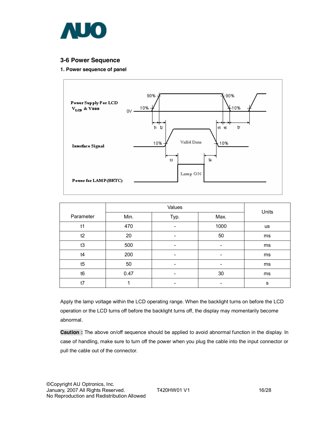

### **3-6 Power Sequence**

#### **1. Power sequence of panel**



|           |      | Units                    |      |           |
|-----------|------|--------------------------|------|-----------|
| Parameter | Min. | Typ.                     | Max. |           |
| t1        | 470  | -                        | 1000 | <b>us</b> |
| t2        | 20   | -                        | 50   | ms        |
| t3        | 500  | $\overline{\phantom{a}}$ | -    | ms        |
| t4        | 200  | -                        | -    | ms        |
| t5        | 50   | -                        |      | ms        |
| t6        | 0.47 | -                        | 30   | ms        |
| t7        |      | $\overline{\phantom{a}}$ | -    | s         |

Apply the lamp voltage within the LCD operating range. When the backlight turns on before the LCD operation or the LCD turns off before the backlight turns off, the display may momentarily become abnormal.

**Caution :** The above on/off sequence should be applied to avoid abnormal function in the display. In case of handling, make sure to turn off the power when you plug the cable into the input connector or pull the cable out of the connector.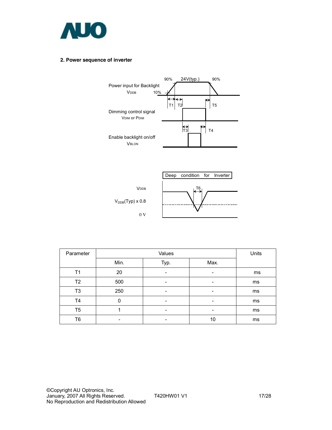

#### **2. Power sequence of inverter**





| Parameter      |                          | Units                    |                          |    |
|----------------|--------------------------|--------------------------|--------------------------|----|
|                | Min.                     | Typ.                     | Max.                     |    |
| Τ1             | 20                       | -                        | $\overline{\phantom{a}}$ | ms |
| T <sub>2</sub> | 500                      | $\overline{\phantom{0}}$ | -                        | ms |
| T3             | 250                      | $\overline{\phantom{0}}$ | $\overline{\phantom{a}}$ | ms |
| T4             | $\Omega$                 |                          |                          | ms |
| T5             |                          | $\overline{\phantom{0}}$ | -                        | ms |
| T6             | $\overline{\phantom{0}}$ | $\overline{\phantom{0}}$ | 10                       | ms |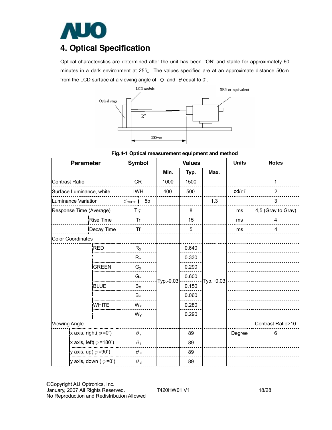

## **4. Optical Specification**

Optical characteristics are determined after the unit has been 'ON' and stable for approximately 60 minutes in a dark environment at 25℃. The values specified are at an approximate distance 50cm from the LCD surface at a viewing angle of  $\Phi$  and  $\theta$  equal to 0°.





| <b>Parameter</b>                       | <b>Symbol</b> |                  |       | <b>Values</b> |       | <b>Units</b> | <b>Notes</b>    |                    |
|----------------------------------------|---------------|------------------|-------|---------------|-------|--------------|-----------------|--------------------|
|                                        |               |                  | Min.  | Typ.          | Max.  |              |                 |                    |
| <b>Contrast Ratio</b>                  |               | <b>CR</b>        |       | 1000          | 1500  |              |                 | 1                  |
| Surface Luminance, white               |               | <b>LWH</b>       |       | 400           | 500   |              | $\text{cd/m}^2$ | $\overline{2}$     |
| Luminance Variation                    |               | $\delta$ white   | 5p    |               |       | 1.3          |                 | 3                  |
| Response Time (Average)                |               | T $\gamma$       |       |               | 8     |              | ms              | 4,5 (Gray to Gray) |
|                                        | Rise Time     | Tr               |       |               | 15    |              | ms              | 4                  |
|                                        | Decay Time    | <b>Tf</b>        |       |               | 5     |              | ms              | 4                  |
| <b>Color Coordinates</b>               |               |                  |       |               |       |              |                 |                    |
|                                        | <b>RED</b>    | $R_X$            |       |               | 0.640 |              |                 |                    |
|                                        |               |                  | $R_Y$ |               | 0.330 |              |                 |                    |
|                                        | <b>GREEN</b>  | $G_X$            |       |               | 0.290 |              |                 |                    |
|                                        |               | $G_Y$            |       | Typ.-0.03     | 0.600 | Typ.+0.03    |                 |                    |
|                                        | <b>BLUE</b>   | $B_X$            |       |               | 0.150 |              |                 |                    |
|                                        |               | $B_Y$            |       |               | 0.060 |              |                 |                    |
|                                        | WHITE         | $W_X$            |       |               | 0.280 |              |                 |                    |
|                                        |               | $W_Y$            |       |               | 0.290 |              |                 |                    |
| <b>Viewing Angle</b>                   |               |                  |       |               |       |              |                 | Contrast Ratio>10  |
| x axis, right( $\varphi = 0^{\circ}$ ) |               | $\theta_{\rm r}$ |       |               | 89    |              | Degree          | 6                  |
| x axis, left( $\varphi$ =180°)         |               | $\theta_1$       |       |               | 89    |              |                 |                    |
| y axis, up( $\varphi = 90^{\circ}$ )   |               | $\theta$ u       |       |               | 89    |              |                 |                    |
| y axis, down ( $\varphi = 0^{\circ}$ ) |               | $\theta$ d       |       |               | 89    |              |                 |                    |

©Copyright AU Optronics, Inc. January, 2007 All Rights Reserved. T420HW01 V1 18/28 No Reproduction and Redistribution Allowed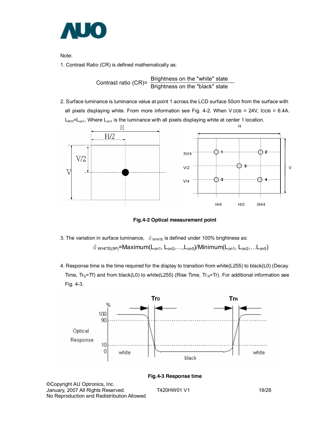

Note:

1. Contrast Ratio (CR) is defined mathematically as:

Contrast ratio (CR)= Brightness on the "white" state<br>Brightness on the "black" state

2. Surface luminance is luminance value at point 1 across the LCD surface 50cm from the surface with all pixels displaying white. From more information see Fig. 4-2. When  $V$  DDB = 24V, IDDB = 6.4A.  $L_{WH}$ = $L_{on1}$ , Where  $L_{on1}$  is the luminance with all pixels displaying white at center 1 location.



**Fig.4-2 Optical measurement point** 

- 3. The variation in surface luminance,  $\delta$  w<sub>HITE</sub> is defined under 100% brightness as:  $\delta$  white(5P)=Maximum(L<sub>on1</sub>, L<sub>on2</sub>,...,L<sub>on5</sub>)/Minimum(L<sub>on1</sub>, L<sub>on2</sub>,...L<sub>on5</sub>)
- 4. Response time is the time required for the display to transition from white(L255) to black(L0) (Decay Time,  $Tr_D=Tr$ ) and from black(L0) to white(L255) (Rise Time,  $Tr_R=Tr$ ). For additional information see Fig. 4-3.

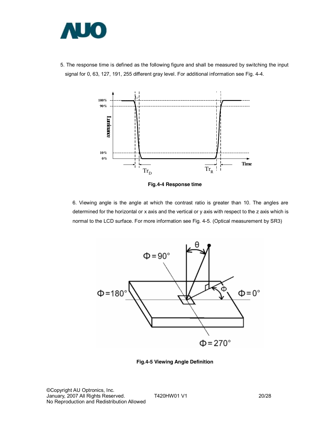

5. The response time is defined as the following figure and shall be measured by switching the input signal for 0, 63, 127, 191, 255 different gray level. For additional information see Fig. 4-4.



**Fig.4-4 Response time** 

6. Viewing angle is the angle at which the contrast ratio is greater than 10. The angles are determined for the horizontal or x axis and the vertical or y axis with respect to the z axis which is normal to the LCD surface. For more information see Fig. 4-5. (Optical measurement by SR3)



**Fig.4-5 Viewing Angle Definition**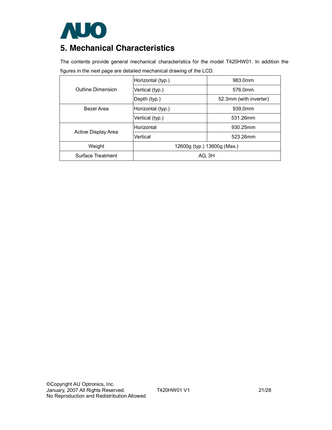

## **5. Mechanical Characteristics**

The contents provide general mechanical characteristics for the model T420HW01. In addition the figures in the next page are detailed mechanical drawing of the LCD.

|                     | Horizontal (typ.)           | 983.0mm                |  |  |  |
|---------------------|-----------------------------|------------------------|--|--|--|
| Outline Dimension   | Vertical (typ.)             | 576.0mm                |  |  |  |
|                     | Depth (typ.)                | 52.3mm (with inverter) |  |  |  |
| Bezel Area          | Horizontal (typ.)           | 939.0mm                |  |  |  |
|                     | Vertical (typ.)             | 531.26mm               |  |  |  |
|                     | <b>Horizontal</b>           | 930.25mm               |  |  |  |
| Active Display Area | Vertical                    | 523.26mm               |  |  |  |
| Weight              | 12600g (typ.) 13600g (Max.) |                        |  |  |  |
| Surface Treatment   | AG, 3H                      |                        |  |  |  |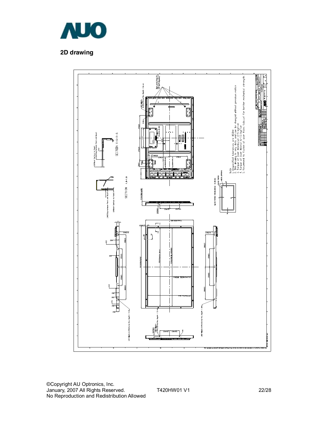

## **2D drawing**

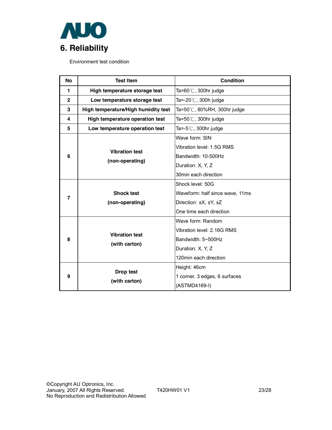

Environment test condition

| <b>No</b>      | <b>Test Item</b>                    | Condition                       |  |  |  |  |
|----------------|-------------------------------------|---------------------------------|--|--|--|--|
| 1              | High temperature storage test       | Ta=60 $°C$ , 300hr judge        |  |  |  |  |
| $\overline{2}$ | Low temperature storage test        | Ta=-20 $\degree$ C, 300h judge  |  |  |  |  |
| 3              | High temperature/High humidity test | Ta=50℃, 80%RH, 300hr judge      |  |  |  |  |
| 4              | High temperature operation test     | Ta=50 $°C$ , 300hr judge        |  |  |  |  |
| 5              | Low temperature operation test      | Ta= $-5^{\circ}$ C, 300hr judge |  |  |  |  |
|                |                                     | Wave form: SIN                  |  |  |  |  |
|                | <b>Vibration test</b>               | Vibration level: 1.5G RMS       |  |  |  |  |
| 6              |                                     | Bandwidth: 10-500Hz             |  |  |  |  |
|                | (non-operating)                     | Duration: X, Y, Z               |  |  |  |  |
|                |                                     | 30min each direction            |  |  |  |  |
|                |                                     | Shock level: 50G                |  |  |  |  |
| 7              | <b>Shock test</b>                   | Waveform: half since wave, 11ms |  |  |  |  |
|                | (non-operating)                     | Direction: ±X, ±Y, ±Z           |  |  |  |  |
|                |                                     | One time each direction         |  |  |  |  |
|                |                                     | Wave form: Random               |  |  |  |  |
|                | <b>Vibration test</b>               | Vibration level: 2.16G RMS      |  |  |  |  |
| 8              | (with carton)                       | Bandwidth: 5~500Hz              |  |  |  |  |
|                |                                     | Duration: X, Y, Z               |  |  |  |  |
|                |                                     | 120min each direction           |  |  |  |  |
|                |                                     | Height: 46cm                    |  |  |  |  |
| 9              | Drop test                           | 1 corner, 3 edges, 6 surfaces   |  |  |  |  |
|                | (with carton)                       | (ASTMD4169-I)                   |  |  |  |  |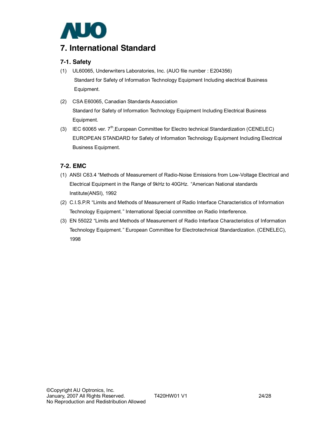

## **7. International Standard**

### **7-1. Safety**

- (1) UL60065, Underwriters Laboratories, Inc. (AUO file number : E204356) Standard for Safety of Information Technology Equipment Including electrical Business Equipment.
- (2) CSA E60065, Canadian Standards Association Standard for Safety of Information Technology Equipment Including Electrical Business Equipment.
- (3) IEC 60065 ver. 7<sup>th</sup>,European Committee for Electro technical Standardization (CENELEC) EUROPEAN STANDARD for Safety of Information Technology Equipment Including Electrical Business Equipment.

### **7-2. EMC**

- (1) ANSI C63.4 "Methods of Measurement of Radio-Noise Emissions from Low-Voltage Electrical and Electrical Equipment in the Range of 9kHz to 40GHz. "American National standards Institute(ANSI), 1992
- (2) C.I.S.P.R "Limits and Methods of Measurement of Radio Interface Characteristics of Information Technology Equipment." International Special committee on Radio Interference.
- (3) EN 55022 "Limits and Methods of Measurement of Radio Interface Characteristics of Information Technology Equipment." European Committee for Electrotechnical Standardization. (CENELEC), 1998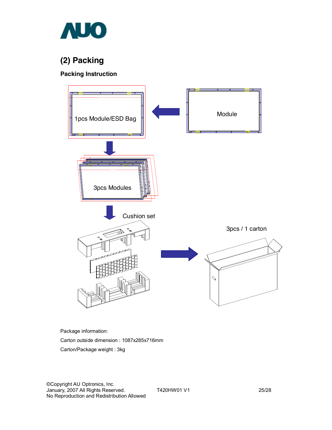

# **(2) Packing**

### **Packing Instruction**



Package information:

Carton outside dimension : 1087x285x716mm

Carton/Package weight : 3kg

©Copyright AU Optronics, Inc. January, 2007 All Rights Reserved. T420HW01 V1 25/28 No Reproduction and Redistribution Allowed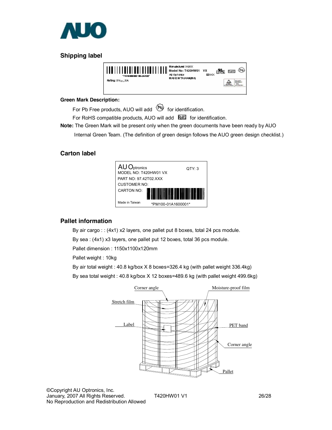

## **Shipping label**



#### **Green Mark Description:**

For Pb Free products, AUO will add  $\bigoplus$  for identification.

For RoHS compatible products, AUO will add **ELE** for identification.

**Note:** The Green Mark will be present only when the green documents have been ready by AUO

Internal Green Team. (The definition of green design follows the AUO green design checklist.)

### **Carton label**



### **Pallet information**

By air cargo : : (4x1) x2 layers, one pallet put 8 boxes, total 24 pcs module.

By sea : (4x1) x3 layers, one pallet put 12 boxes, total 36 pcs module.

Pallet dimension : 1150x1100x120mm

Pallet weight : 10kg

By air total weight : 40.8 kg/box X 8 boxes=326.4 kg (with pallet weight 336.4kg)

By sea total weight : 40.8 kg/box X 12 boxes=489.6 kg (with pallet weight 499.6kg)

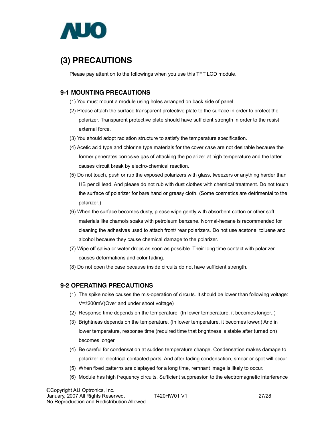

# **(3) PRECAUTIONS**

Please pay attention to the followings when you use this TFT LCD module.

### **9-1 MOUNTING PRECAUTIONS**

- (1) You must mount a module using holes arranged on back side of panel.
- (2) Please attach the surface transparent protective plate to the surface in order to protect the polarizer. Transparent protective plate should have sufficient strength in order to the resist external force.
- (3) You should adopt radiation structure to satisfy the temperature specification.
- (4) Acetic acid type and chlorine type materials for the cover case are not desirable because the former generates corrosive gas of attacking the polarizer at high temperature and the latter causes circuit break by electro-chemical reaction.
- (5) Do not touch, push or rub the exposed polarizers with glass, tweezers or anything harder than HB pencil lead. And please do not rub with dust clothes with chemical treatment. Do not touch the surface of polarizer for bare hand or greasy cloth. (Some cosmetics are detrimental to the polarizer.)
- (6) When the surface becomes dusty, please wipe gently with absorbent cotton or other soft materials like chamois soaks with petroleum benzene. Normal-hexane is recommended for cleaning the adhesives used to attach front/ rear polarizers. Do not use acetone, toluene and alcohol because they cause chemical damage to the polarizer.
- (7) Wipe off saliva or water drops as soon as possible. Their long time contact with polarizer causes deformations and color fading.
- (8) Do not open the case because inside circuits do not have sufficient strength.

### **9-2 OPERATING PRECAUTIONS**

- (1) The spike noise causes the mis-operation of circuits. It should be lower than following voltage: V=±200mV(Over and under shoot voltage)
- (2) Response time depends on the temperature. (In lower temperature, it becomes longer..)
- (3) Brightness depends on the temperature. (In lower temperature, it becomes lower.) And in lower temperature, response time (required time that brightness is stable after turned on) becomes longer.
- (4) Be careful for condensation at sudden temperature change. Condensation makes damage to polarizer or electrical contacted parts. And after fading condensation, smear or spot will occur.
- (5) When fixed patterns are displayed for a long time, remnant image is likely to occur.
- (6) Module has high frequency circuits. Sufficient suppression to the electromagnetic interference